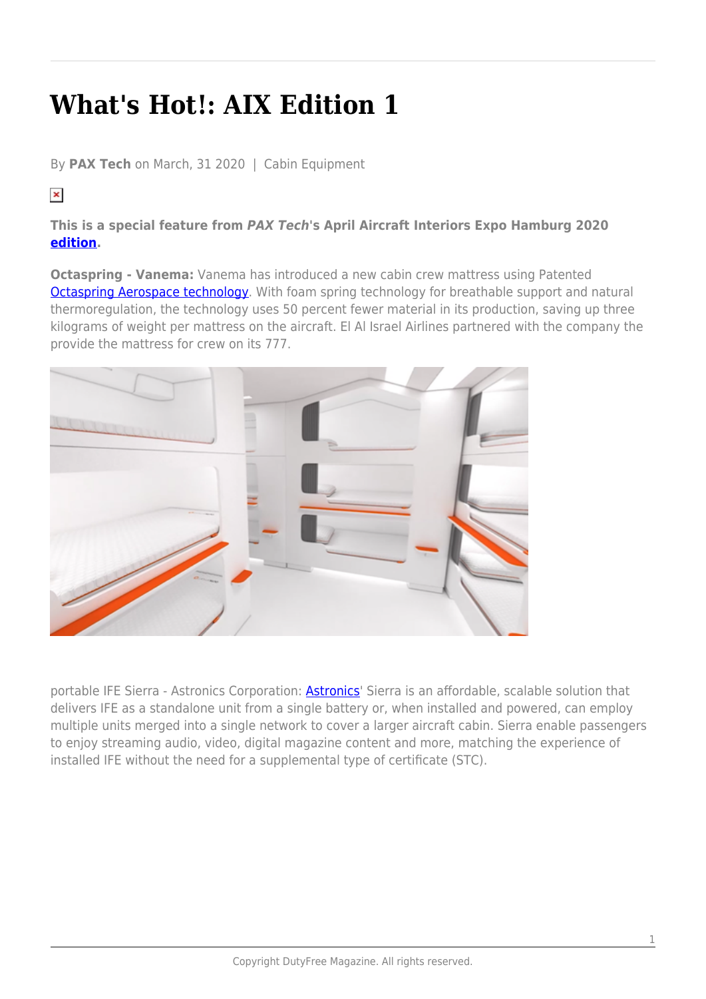## **What's Hot!: AIX Edition 1**

By **PAX Tech** on March, 31 2020 | Cabin Equipment

## $\pmb{\times}$

## **This is a special feature from** *PAX Tech***'s April Aircraft Interiors Expo Hamburg 2020 [edition.](https://issuu.com/globalmarketingcompany/docs/paxtech_aix_march2020-issuu?fr=sYmY3NzQ2NjE)**

**Octaspring - Vanema:** Vanema has introduced a new cabin crew mattress using Patented **Octaspring Aerospace technology**. With foam spring technology for breathable support and natural thermoregulation, the technology uses 50 percent fewer material in its production, saving up three kilograms of weight per mattress on the aircraft. El Al Israel Airlines partnered with the company the provide the mattress for crew on its 777.



portable IFE Sierra - [Astronics](https://www.astronics.com/) Corporation: **Astronics'** Sierra is an affordable, scalable solution that delivers IFE as a standalone unit from a single battery or, when installed and powered, can employ multiple units merged into a single network to cover a larger aircraft cabin. Sierra enable passengers to enjoy streaming audio, video, digital magazine content and more, matching the experience of installed IFE without the need for a supplemental type of certificate (STC).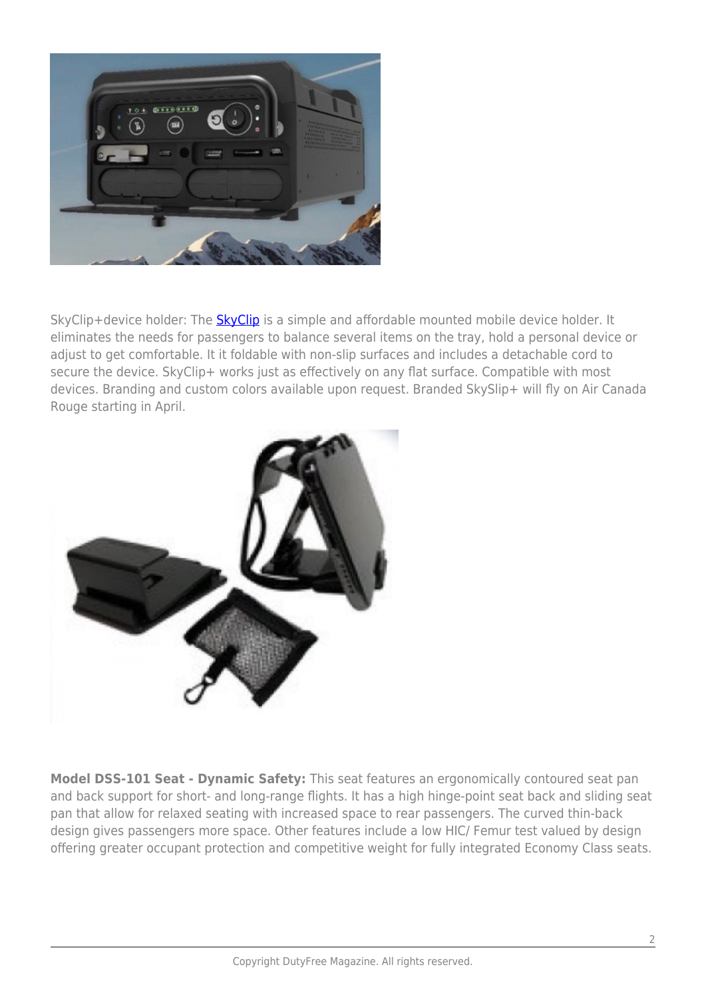

[SkyClip](https://theskyclip.com/)+device holder: The SkyClip is a simple and affordable mounted mobile device holder. It eliminates the needs for passengers to balance several items on the tray, hold a personal device or adjust to get comfortable. It it foldable with non-slip surfaces and includes a detachable cord to secure the device. SkyClip+ works just as effectively on any flat surface. Compatible with most devices. Branding and custom colors available upon request. Branded SkySlip+ will fly on Air Canada Rouge starting in April.



**Model DSS-101 Seat - Dynamic Safety:** This seat features an ergonomically contoured seat pan and back support for short- and long-range flights. It has a high hinge-point seat back and sliding seat pan that allow for relaxed seating with increased space to rear passengers. The curved thin-back design gives passengers more space. Other features include a low HIC/ Femur test valued by design offering greater occupant protection and competitive weight for fully integrated Economy Class seats.